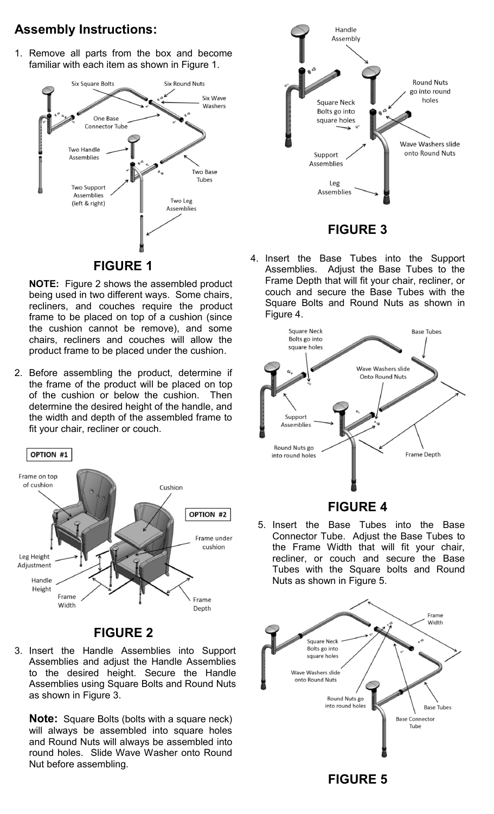### **Assembly Instructions:**

1. Remove all parts from the box and become familiar with each item as shown in Figure 1.



**NOTE:** Figure 2 shows the assembled product being used in two different ways. Some chairs, recliners, and couches require the product frame to be placed on top of a cushion (since the cushion cannot be remove), and some chairs, recliners and couches will allow the product frame to be placed under the cushion.

2. Before assembling the product, determine if the frame of the product will be placed on top of the cushion or below the cushion. Then determine the desired height of the handle, and the width and depth of the assembled frame to fit your chair, recliner or couch.



**FIGURE 2**

3. Insert the Handle Assemblies into Support Assemblies and adjust the Handle Assemblies to the desired height. Secure the Handle Assemblies using Square Bolts and Round Nuts as shown in Figure 3.

**Note:** Square Bolts (bolts with a square neck) will always be assembled into square holes and Round Nuts will always be assembled into round holes. Slide Wave Washer onto Round Nut before assembling.



#### **FIGURE 3**

4. Insert the Base Tubes into the Support Assemblies. Adjust the Base Tubes to the Frame Depth that will fit your chair, recliner, or couch and secure the Base Tubes with the Square Bolts and Round Nuts as shown in Figure 4.



#### **FIGURE 4**

5. Insert the Base Tubes into the Base Connector Tube. Adjust the Base Tubes to the Frame Width that will fit your chair, recliner, or couch and secure the Base Tubes with the Square bolts and Round Nuts as shown in Figure 5.